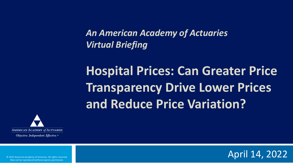*An American Academy of Actuaries Virtual Briefing*

**Hospital Prices: Can Greater Price Transparency Drive Lower Prices and Reduce Price Variation?**



Objective. Independent. Effective.™

© 2022 American Academy of Actuaries. All rights reserved. May not be reproduced without express permission.

April 14, 2022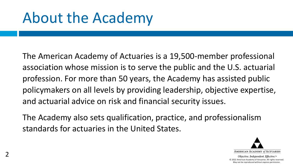## About the Academy

The American Academy of Actuaries is a 19,500-member professional association whose mission is to serve the public and the U.S. actuarial profession. For more than 50 years, the Academy has assisted public policymakers on all levels by providing leadership, objective expertise, and actuarial advice on risk and financial security issues.

The Academy also sets qualification, practice, and professionalism standards for actuaries in the United States.

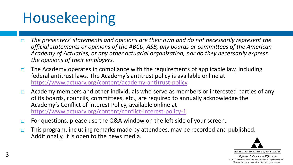# Housekeeping

- *The presenters' statements and opinions are their own and do not necessarily represent the official statements or opinions of the ABCD, ASB, any boards or committees of the American Academy of Actuaries, or any other actuarial organization, nor do they necessarily express the opinions of their employers.*
- $\Box$  The Academy operates in compliance with the requirements of applicable law, including federal antitrust laws. The Academy's antitrust policy is available online at [https://www.actuary.org/content/academy-antitrust-policy.](https://www.actuary.org/content/academy-antitrust-policy)
- $\Box$  Academy members and other individuals who serve as members or interested parties of any of its boards, councils, committees, etc., are required to annually acknowledge the Academy's Conflict of Interest Policy, available online at [https://www.actuary.org/content/conflict-interest-policy-1.](https://www.actuary.org/content/conflict-interest-policy-1)
- $\Box$  For questions, please use the Q&A window on the left side of your screen.
- $\Box$  This program, including remarks made by attendees, may be recorded and published. Additionally, it is open to the news media.

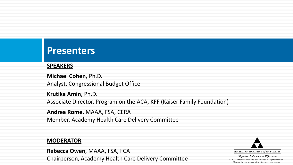#### **Presenters**

#### **SPEAKERS**

**Michael Cohen**, Ph.D. Analyst, Congressional Budget Office

**Krutika Amin**, Ph.D. Associate Director, Program on the ACA, KFF (Kaiser Family Foundation)

**Andrea Rome**, MAAA, FSA, CERA Member, Academy Health Care Delivery Committee

#### **MODERATOR**

**Rebecca Owen**, MAAA, FSA, FCA Chairperson, Academy Health Care Delivery Committee

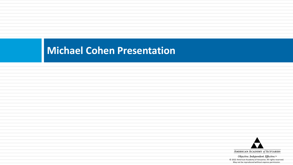### **Michael Cohen Presentation**

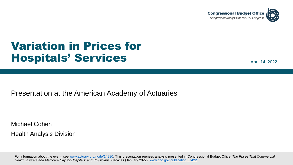

### Variation in Prices for Hospitals' Services

April 14, 2022

Presentation at the American Academy of Actuaries

Michael Cohen Health Analysis Division

For information about the event, see [www.actuary.org/node/14980](http://www.actuary.org/node/14980). This presentation reprises analysis presented in Congressional Budget Office, *The Prices That Commercial Health Insurers and Medicare Pay for Hospitals' and Physicians' Services* (January 2022), [www.cbo.gov/publication/57422.](http://www.cbo.gov/publication/57422)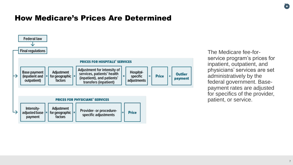#### How Medicare's Prices Are Determined



The Medicare fee-forservice program's prices for inpatient, outpatient, and physicians' services are set administratively by the federal government. Basepayment rates are adjusted for specifics of the provider, patient, or service.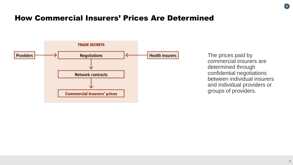#### How Commercial Insurers' Prices Are Determined



The prices paid by commercial insurers are determined through confidential negotiations between individual insurers and individual providers or groups of providers.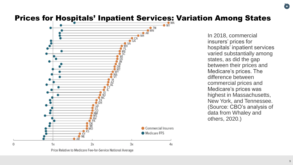#### Prices for Hospitals' Inpatient Services: Variation Among States



Price Relative to Medicare Fee-for-Service National Average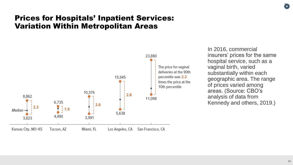#### Prices for Hospitals' Inpatient Services: Variation Within Metropolitan Areas



In 2016, commercial insurers' prices for the same hospital service, such as a vaginal birth, varied substantially within each geographic area. The range of prices varied among areas. (Source: CBO's analysis of data from Kennedy and others, 2019.)

(O)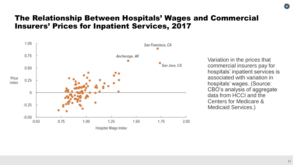#### The Relationship Between Hospitals' Wages and Commercial Insurers' Prices for Inpatient Services, 2017



Variation in the prices that commercial insurers pay for hospitals' inpatient services is associated with variation in hospitals' wages. (Source: CBO's analysis of aggregate data from HCCI and the Centers for Medicare & Medicaid Services.)

0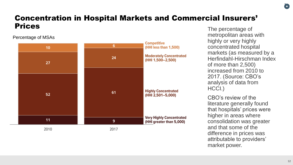#### Concentration in Hospital Markets and Commercial Insurers' **Prices** The percentage of

#### Percentage of MSAs



metropolitan areas with highly or very highly concentrated hospital markets (as measured by a Herfindahl-Hirschman Index of more than 2,500) increased from 2010 to 2017. (Source: CBO's analysis of data from HCCI.)

CBO's review of the literature generally found that hospitals' prices were higher in areas where consolidation was greater and that some of the difference in prices was attributable to providers' market power.

0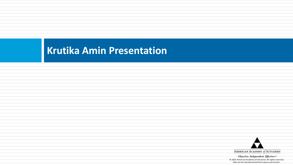### **Krutika Amin Presentation**

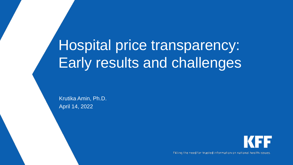# Hospital price transparency: Early results and challenges

Krutika Amin, Ph.D. April 14, 2022



Filling the need for trusted information on national health issues.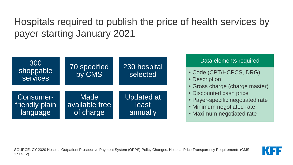Hospitals required to publish the price of health services by payer starting January 2021



#### Data elements required

- Code (CPT/HCPCS, DRG)
- Description
- Gross charge (charge master)
- Discounted cash price
- Payer-specific negotiated rate
- Minimum negotiated rate
- Maximum negotiated rate

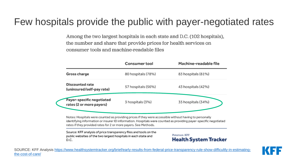### Few hospitals provide the public with payer-negotiated rates

Among the two largest hospitals in each state and D.C. (102 hospitals), the number and share that provide prices for health services on consumer tools and machine-readable files

|                                                       | <b>Consumer tool</b> | Machine-readable file |
|-------------------------------------------------------|----------------------|-----------------------|
| Gross charge                                          | 80 hospitals (78%)   | 83 hospitals (81%)    |
| <b>Discounted rate</b><br>(uninsured/self-pay rate)   | 57 hospitals (56%)   | 43 hospitals (42%)    |
| Payer-specific negotiated<br>rates (2 or more payers) | 3 hospitals (3%)     | 35 hospitals (34%)    |

rates if they provided rates for 2 or more payers. See Methods.

Source: KFF analysis of price transparency files and tools on the public websites of the two largest hospitals in each state and D.C.

Peterson-KFF **Health System Tracker** 

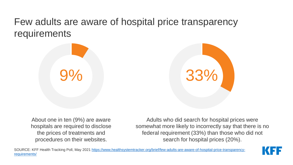### Few adults are aware of hospital price transparency requirements





About one in ten (9%) are aware hospitals are required to disclose the prices of treatments and procedures on their websites.

Adults who did search for hospital prices were somewhat more likely to incorrectly say that there is no federal requirement (33%) than those who did not search for hospital prices (20%).

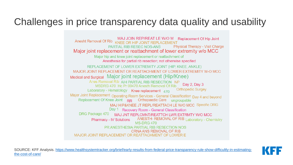### Challenges in price transparency data quality and usability

MAJ JOIN REP/REAT LE W/O M Replacement Of Hip Joint<br>Anesht Removal Of Rib KNEE OR HIP JOINT REPLACEMENT **Physical Therapy - Visit Charge** PARTIAL RIB RESEC NOS-ANS Major joint replacement or reattachment of lower extremity w/o MCC Major hip and knee joint replacement or reattachment of Anesthesia for partial rib resection; not otherwise specified REPLACEMENT OF LOWER EXTREMITY JOINT (HIP, KNEE, ANKLE) MAJOR JOINT REPLACEMENT OR REATTACHMENT OF LOWER EXTREMITY W-O MCC Medical and Surgical Major joint replacement (Hip/Knee) Anes Removal Rib AIH PARTIAL RIB RESECTION NP Day 2, Day 3 MSDRG 470 Hc Pr 00470 Anesth Removal Of Rib **Orthopedic Surgey** Laboratory - Hematology Knee replacement  $470$ Major Joint Replacement Operating Room Services - General Classification Day 4 and beyond Replacement Of Knee Joint RR Orthopaedic Care ungroupable MAJ HIP&KNEE JT REPL/REATTACH LE W/O MCC Specific DRG Day 1 Recovery Room - General Classification DRG Package 470 MAJ JNT REPLCMNT/REATTCH LWR EXTRMTY W/O MCC ANESTH- REMOVAL OF RIB Laboratory - Chemistry **Pharmacy - IV Solutions MS-DRG 470** PR ANESTHESIA PARTIAL RIB RESECTION NOS **CRNA ANS REMOVAL OF RIB** MAJOR JOINT REPLACEMENT OR REATTACHMENT OF LOWER E

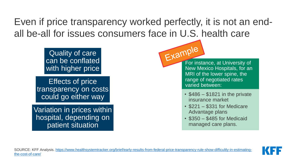Even if price transparency worked perfectly, it is not an endall be-all for issues consumers face in U.S. health care

> Quality of care can be conflated with higher price

Effects of price transparency on costs could go either way

Variation in prices within hospital, depending on patient situation



New Mexico Hospitals, for an MRI of the lower spine, the range of negotiated rates varied between:

- \$486 \$1821 in the private insurance market
- \$221 \$331 for Medicare Advantage plans
- \$350 \$485 for Medicaid managed care plans.

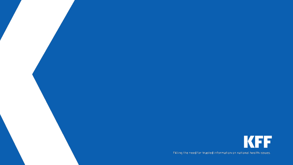

Filling the need for trusted information on national health issues.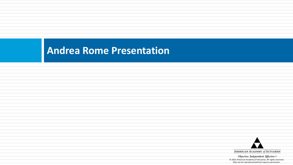### **Andrea Rome Presentation**

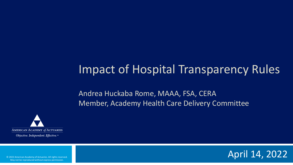### Impact of Hospital Transparency Rules

Andrea Huckaba Rome, MAAA, FSA, CERA Member, Academy Health Care Delivery Committee



Objective. Independent. Effective.™

© 2022 American Academy of Actuaries. All rights reserved. May not be reproduced without express permission.

April 14, 2022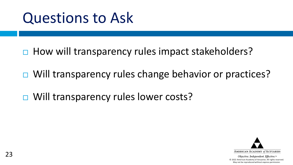## Questions to Ask

- $\Box$  How will transparency rules impact stakeholders?
- □ Will transparency rules change behavior or practices?
- □ Will transparency rules lower costs?

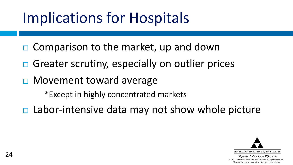# Implications for Hospitals

- $\Box$  Comparison to the market, up and down
- $\Box$  Greater scrutiny, especially on outlier prices
- **□ Movement toward average**

\*Except in highly concentrated markets

 $\Box$  Labor-intensive data may not show whole picture

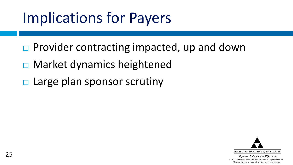# Implications for Payers

- $\Box$  Provider contracting impacted, up and down
- **□ Market dynamics heightened**
- $\Box$  Large plan sponsor scrutiny

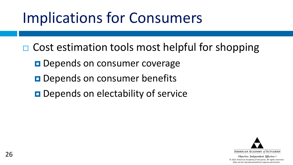# Implications for Consumers

 $\Box$  Cost estimation tools most helpful for shopping

- **Depends on consumer coverage**
- **Depends on consumer benefits**
- **Depends on electability of service**

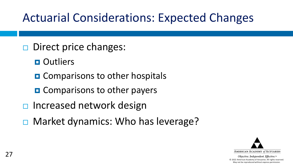## Actuarial Considerations: Expected Changes

- $\Box$  Direct price changes:
	- **D** Outliers
	- **O** Comparisons to other hospitals
	- **O** Comparisons to other payers
- $\Box$  Increased network design
- **□ Market dynamics: Who has leverage?**

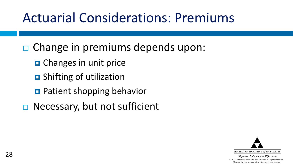## Actuarial Considerations: Premiums

- $\Box$  Change in premiums depends upon:
	- **D** Changes in unit price
	- **D** Shifting of utilization
	- **Patient shopping behavior**
- $\Box$  Necessary, but not sufficient

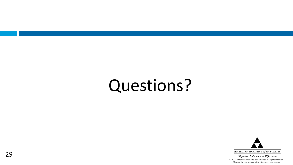# Questions?

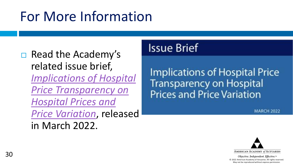## For More Information

### $\Box$  Read the Academy's related issue brief, *Implications of Hospital [Price Transparency on](https://www.actuary.org/sites/default/files/2022-03/HospPriceTransIB_3.22.pdf)  Hospital Prices and Price Variation*, released in March 2022.

### **Issue Brief**

**Implications of Hospital Price Transparency on Hospital Prices and Price Variation** 

**MARCH 2022**